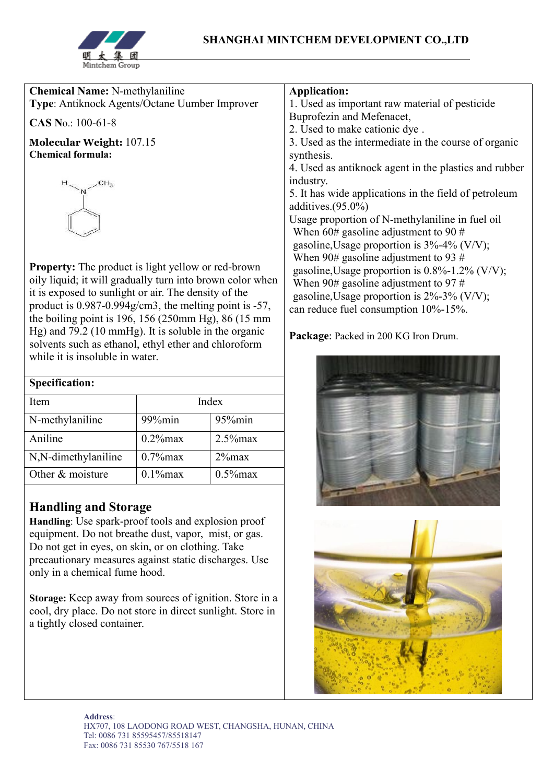

| <b>Chemical Name: N-methylaniline</b>                                                                             | <b>Application:</b>                                                                                                                                                                                                                                                                                                                               |  |  |
|-------------------------------------------------------------------------------------------------------------------|---------------------------------------------------------------------------------------------------------------------------------------------------------------------------------------------------------------------------------------------------------------------------------------------------------------------------------------------------|--|--|
| <b>Type:</b> Antiknock Agents/Octane Uumber Improver                                                              | 1. Used as important raw material of pesticide                                                                                                                                                                                                                                                                                                    |  |  |
| CAS No.: 100-61-8                                                                                                 | Buprofezin and Mefenacet,<br>2. Used to make cationic dye.                                                                                                                                                                                                                                                                                        |  |  |
| Molecular Weight: 107.15                                                                                          | 3. Used as the intermediate in the course of organic                                                                                                                                                                                                                                                                                              |  |  |
| <b>Chemical formula:</b>                                                                                          | synthesis.                                                                                                                                                                                                                                                                                                                                        |  |  |
|                                                                                                                   | 4. Used as antiknock agent in the plastics and rubber<br>industry.<br>5. It has wide applications in the field of petroleum<br>additives. $(95.0\%)$<br>Usage proportion of N-methylaniline in fuel oil<br>When $60#$ gasoline adjustment to 90 $#$<br>gasoline, Usage proportion is $3\% - 4\%$ (V/V);<br>When 90# gasoline adjustment to 93 $#$ |  |  |
| <b>Property:</b> The product is light yellow or red-brown                                                         | gasoline, Usage proportion is $0.8\%$ -1.2% (V/V);                                                                                                                                                                                                                                                                                                |  |  |
| oily liquid; it will gradually turn into brown color when<br>it is exposed to sunlight or air. The density of the | When $90#$ gasoline adjustment to 97 #                                                                                                                                                                                                                                                                                                            |  |  |
| product is $0.987 - 0.994$ g/cm3, the melting point is $-57$ ,                                                    | gasoline, Usage proportion is $2\% - 3\%$ (V/V);                                                                                                                                                                                                                                                                                                  |  |  |
| the boiling point is $196$ , $156$ ( $250$ mm Hg), $86$ ( $15$ mm                                                 | can reduce fuel consumption 10%-15%.                                                                                                                                                                                                                                                                                                              |  |  |
| Hg) and $79.2$ (10 mmHg). It is soluble in the organic<br>$1 \t1 \t1 \t1 \t1 \t1 \t1 \t1 \t1 \t1 \t1 \t1$         | Package: Packed in 200 KG Iron Drum.                                                                                                                                                                                                                                                                                                              |  |  |

solvents such as ethanol, ethyl ether and chloroform while it is insoluble in water.

| <b>Specification:</b> |             |             |  |
|-----------------------|-------------|-------------|--|
| <b>Item</b>           | Index       |             |  |
| N-methylaniline       | 99%min      | 95%min      |  |
| Aniline               | $0.2\%$ max | $2.5\%$ max |  |
| N,N-dimethylaniline   | $0.7\%$ max | $2\%$ max   |  |
| Other & moisture      | $0.1\%$ max | $0.5\%$ max |  |

## **Handling and Storage**

**Handling**: Use spark-proof tools and explosion proof equipment. Do not breathe dust, vapor, mist, or gas. Do not get in eyes, on skin, or on clothing. Take precautionary measures against static discharges. Use only in a chemical fume hood.

**Storage:** Keep away from sources of ignition. Store in a cool, dry place. Do not store in direct sunlight. Store in a tightly closed container.